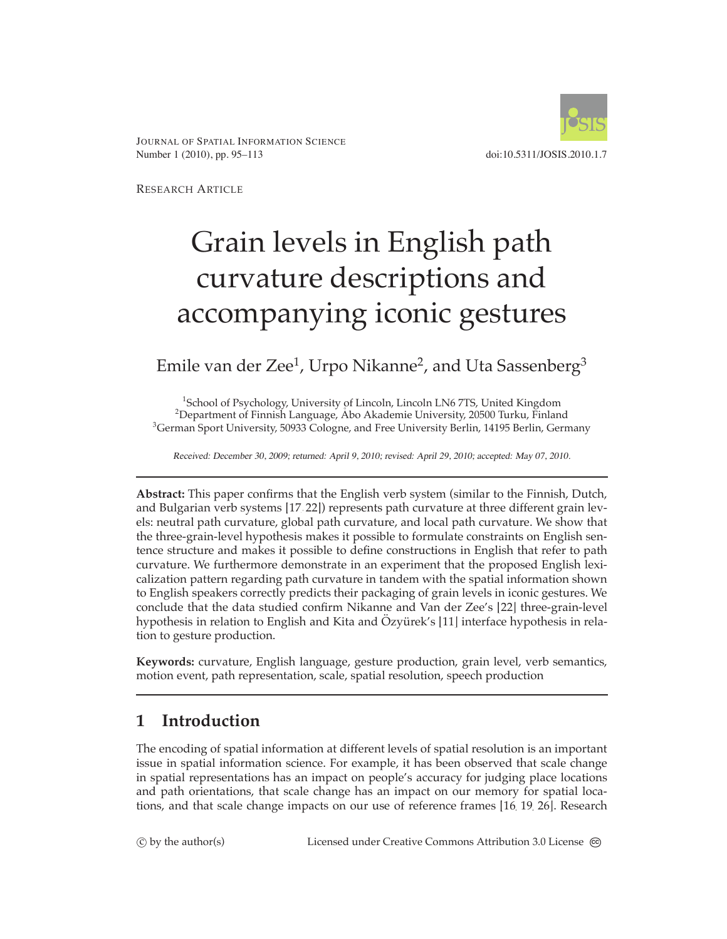



RESEARCH ARTICLE

# Grain levels in English path curvature descriptions and accompanying iconic gestures

# Emile van der Zee<sup>1</sup>, Urpo Nikanne<sup>2</sup>, and Uta Sassenberg<sup>3</sup>

<sup>1</sup>School of Psychology, University of Lincoln, Lincoln LN6 7TS, United Kingdom<br><sup>2</sup>Department of Einnish Language, Åbo Akademie University 20500 Turku, Einlan Department of Finnish Language, Åbo Akademie University, 20500 Turku, Finland  $^3$ German Sport University, 50933 Cologne, and Free University Berlin, 14195 Berlin, Germany

Received: December 30, 2009; returned: April 9, 2010; revised: April 29, 2010; accepted: May 07, 2010.

**Abstract:** This paper confirms that the English verb system (similar to the Finnish, Dutch, and Bulgarian verb systems [\[17,](#page-16-0) [22\]](#page-17-0)) represents path curvature at three different grain levels: neutral path curvature, global path curvature, and local path curvature. We show that the three-grain-level hypothesis makes it possible to formulate constraints on English sentence structure and makes it possible to define constructions in English that refer to path curvature. We furthermore demonstrate in an experiment that the proposed English lexicalization pattern regarding path curvature in tandem with the spatial information shown to English speakers correctly predicts their packaging of grain levels in iconic gestures. We conclude that the data studied confirm Nikanne and Van der Zee's [\[22\]](#page-17-0) three-grain-level hypothesis in relation to English and Kita and Özyürek's [\[11\]](#page-16-1) interface hypothesis in relation to gesture production.

**Keywords:** curvature, English language, gesture production, grain level, verb semantics, motion event, path representation, scale, spatial resolution, speech production

# **1 Introduction**

The encoding of spatial information at different levels of spatial resolution is an important issue in spatial information science. For example, it has been observed that scale change in spatial representations has an impact on people's accuracy for judging place locations and path orientations, that scale change has an impact on our memory for spatial locations, and that scale change impacts on our use of reference frames [\[16,](#page-16-2) [19,](#page-16-3) [26\]](#page-17-1). Research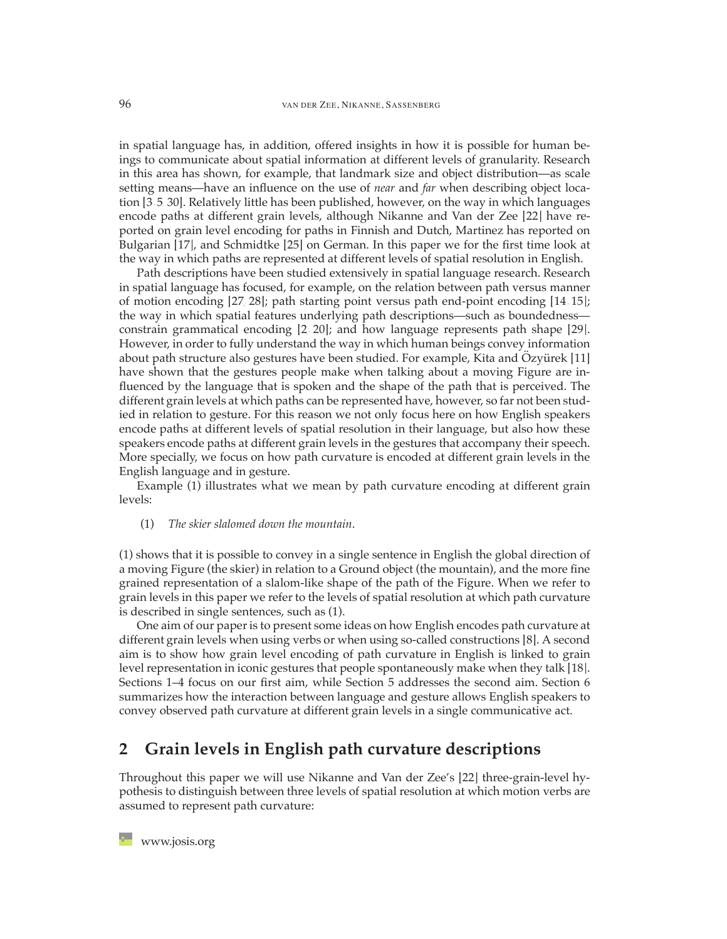in spatial language has, in addition, offered insights in how it is possible for human beings to communicate about spatial information at different levels of granularity. Research in this area has shown, for example, that landmark size and object distribution—as scale setting means—have an influence on the use of *near* and *far* when describing object location [\[3,](#page-15-0) [5,](#page-15-1) [30\]](#page-17-2). Relatively little has been published, however, on the way in which languages encode paths at different grain levels, although Nikanne and Van der Zee [\[22\]](#page-17-0) have reported on grain level encoding for paths in Finnish and Dutch, Martinez has reported on Bulgarian [\[17\]](#page-16-0), and Schmidtke [\[25\]](#page-17-3) on German. In this paper we for the first time look at the way in which paths are represented at different levels of spatial resolution in English.

Path descriptions have been studied extensively in spatial language research. Research in spatial language has focused, for example, on the relation between path versus manner of motion encoding [\[27,](#page-17-4) [28\]](#page-17-5); path starting point versus path end-point encoding [\[14,](#page-16-4) [15\]](#page-16-5); the way in which spatial features underlying path descriptions—such as boundedness constrain grammatical encoding [\[2,](#page-15-2) [20\]](#page-16-6); and how language represents path shape [\[29\]](#page-17-6). However, in order to fully understand the way in which human beings convey information about path structure also gestures have been studied. For example, Kita and  $Ozy$  ürek [\[11\]](#page-16-1) have shown that the gestures people make when talking about a moving Figure are influenced by the language that is spoken and the shape of the path that is perceived. The different grain levels at which paths can be represented have, however, so far not been studied in relation to gesture. For this reason we not only focus here on how English speakers encode paths at different levels of spatial resolution in their language, but also how these speakers encode paths at different grain levels in the gestures that accompany their speech. More specially, we focus on how path curvature is encoded at different grain levels in the English language and in gesture.

Example (1) illustrates what we mean by path curvature encoding at different grain levels:

(1) *The skier slalomed down the mountain*.

(1) shows that it is possible to convey in a single sentence in English the global direction of a moving Figure (the skier) in relation to a Ground object (the mountain), and the more fine grained representation of a slalom-like shape of the path of the Figure. When we refer to grain levels in this paper we refer to the levels of spatial resolution at which path curvature is described in single sentences, such as (1).

One aim of our paper is to present some ideas on how English encodes path curvature at different grain levels when using verbs or when using so-called constructions [\[8\]](#page-16-7). A second aim is to show how grain level encoding of path curvature in English is linked to grain level representation in iconic gestures that people spontaneously make when they talk [\[18\]](#page-16-8). Sections 1–4 focus on our first aim, while Section 5 addresses the second aim. Section 6 summarizes how the interaction between language and gesture allows English speakers to convey observed path curvature at different grain levels in a single communicative act.

# **2 Grain levels in English path curvature descriptions**

Throughout this paper we will use Nikanne and Van der Zee's [\[22\]](#page-17-0) three-grain-level hypothesis to distinguish between three levels of spatial resolution at which motion verbs are assumed to represent path curvature: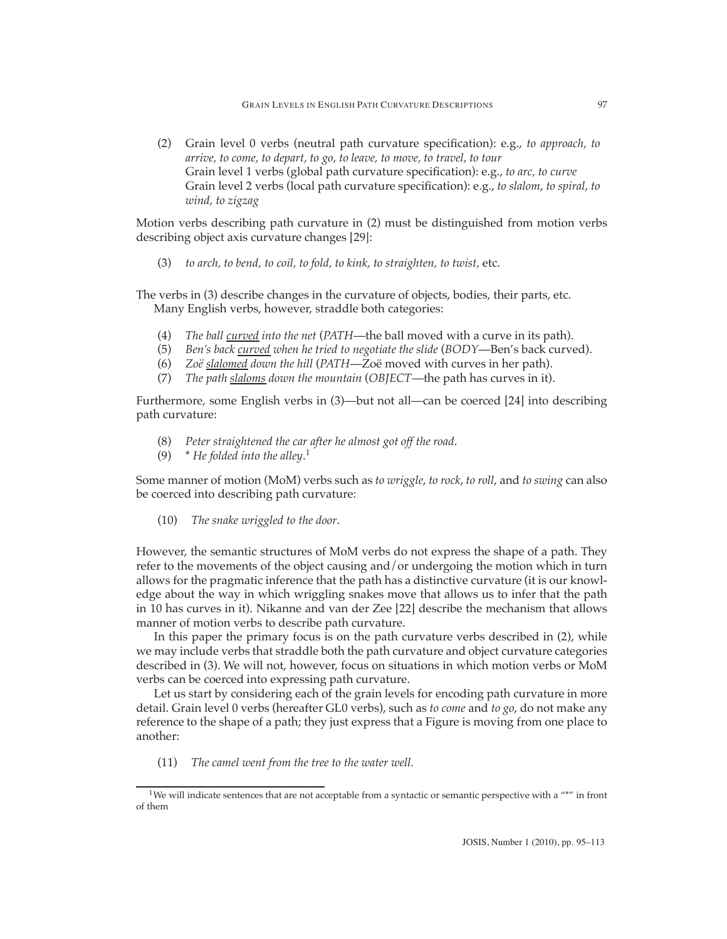(2) Grain level 0 verbs (neutral path curvature specification): e.g., *to approach, to arrive, to come, to depart, to go, to leave, to move, to travel, to tour* Grain level 1 verbs (global path curvature specification): e.g., *to arc, to curve* Grain level 2 verbs (local path curvature specification): e.g., *to slalom*, *to spiral*, *to wind, to zigzag*

Motion verbs describing path curvature in (2) must be distinguished from motion verbs describing object axis curvature changes [\[29\]](#page-17-6):

(3) *to arch, to bend, to coil, to fold, to kink, to straighten, to twist,* etc.

The verbs in (3) describe changes in the curvature of objects, bodies, their parts, etc. Many English verbs, however, straddle both categories:

- (4) *The ball curved into the net* (*PATH*—the ball moved with a curve in its path).
- (5) *Ben's back curved when he tried to negotiate the slide* (*BODY*—Ben's back curved).
- (6) *Zoë slalomed down the hill* (*PATH—Zoë moved with curves in her path*).
- (7) *The path slaloms down the mountain* (*OBJECT*—the path has curves in it).

Furthermore, some English verbs in (3)—but not all—can be coerced [\[24\]](#page-17-7) into describing path curvature:

- (8) *Peter straightened the car after he almost got off the road*.
- (9) \* *He folded into the alley*. 1

Some manner of motion (MoM) verbs such as *to wriggle*, *to rock*, *to roll*, and *to swing* can also be coerced into describing path curvature:

(10) *The snake wriggled to the door*.

However, the semantic structures of MoM verbs do not express the shape of a path. They refer to the movements of the object causing and/or undergoing the motion which in turn allows for the pragmatic inference that the path has a distinctive curvature (it is our knowledge about the way in which wriggling snakes move that allows us to infer that the path in 10 has curves in it). Nikanne and van der Zee [\[22\]](#page-17-0) describe the mechanism that allows manner of motion verbs to describe path curvature.

In this paper the primary focus is on the path curvature verbs described in (2), while we may include verbs that straddle both the path curvature and object curvature categories described in (3). We will not, however, focus on situations in which motion verbs or MoM verbs can be coerced into expressing path curvature.

Let us start by considering each of the grain levels for encoding path curvature in more detail. Grain level 0 verbs (hereafter GL0 verbs), such as *to come* and *to go*, do not make any reference to the shape of a path; they just express that a Figure is moving from one place to another:

(11) *The camel went from the tree to the water well.*

<sup>&</sup>lt;sup>1</sup>We will indicate sentences that are not acceptable from a syntactic or semantic perspective with a  $""$  in front of them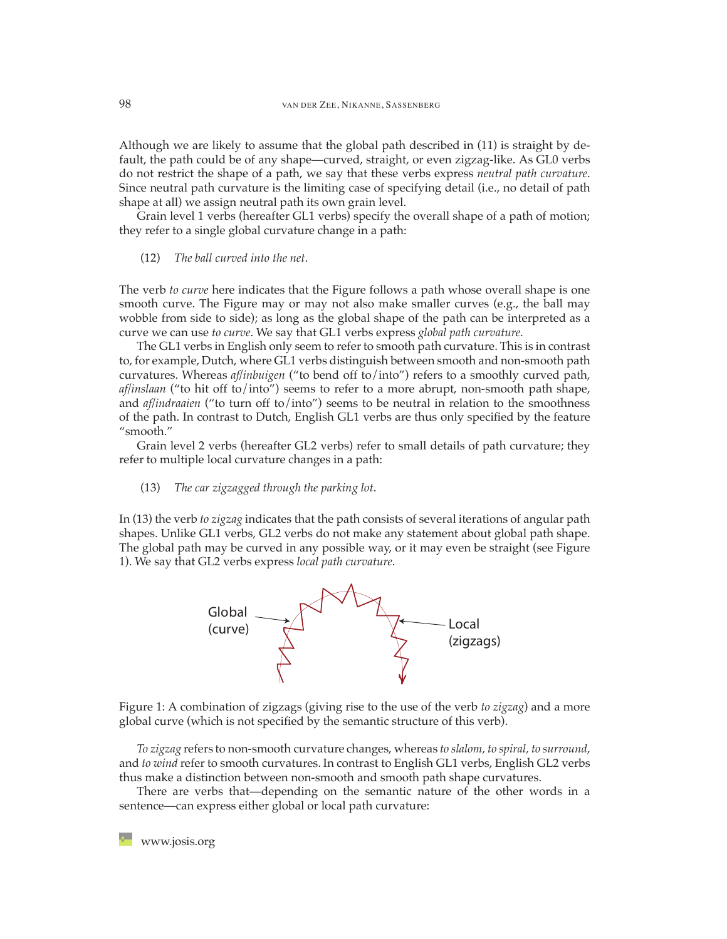Although we are likely to assume that the global path described in (11) is straight by default, the path could be of any shape—curved, straight, or even zigzag-like. As GL0 verbs do not restrict the shape of a path, we say that these verbs express *neutral path curvature*. Since neutral path curvature is the limiting case of specifying detail (i.e., no detail of path shape at all) we assign neutral path its own grain level.

Grain level 1 verbs (hereafter GL1 verbs) specify the overall shape of a path of motion; they refer to a single global curvature change in a path:

(12) *The ball curved into the net*.

The verb *to curve* here indicates that the Figure follows a path whose overall shape is one smooth curve. The Figure may or may not also make smaller curves (e.g., the ball may wobble from side to side); as long as the global shape of the path can be interpreted as a curve we can use *to curve*. We say that GL1 verbs express *global path curvature*.

The GL1 verbs in English only seem to refer to smooth path curvature. This is in contrast to, for example, Dutch, where GL1 verbs distinguish between smooth and non-smooth path curvatures. Whereas *af/inbuigen* ("to bend off to/into") refers to a smoothly curved path, *af/inslaan* ("to hit off to/into") seems to refer to a more abrupt, non-smooth path shape, and *af/indraaien* ("to turn off to/into") seems to be neutral in relation to the smoothness of the path. In contrast to Dutch, English GL1 verbs are thus only specified by the feature "smooth."

Grain level 2 verbs (hereafter GL2 verbs) refer to small details of path curvature; they refer to multiple local curvature changes in a path:

(13) *The car zigzagged through the parking lot*.

In (13) the verb *to zigzag* indicates that the path consists of several iterations of angular path shapes. Unlike GL1 verbs, GL2 verbs do not make any statement about global path shape. The global path may be curved in any possible way, or it may even be straight (see Figure 1). We say that GL2 verbs express *local path curvature*.



Figure 1: A combination of zigzags (giving rise to the use of the verb *to zigzag*) and a more global curve (which is not specified by the semantic structure of this verb).

*To zigzag* refers to non-smooth curvature changes, whereas *to slalom, to spiral, to surround*, and *to wind* refer to smooth curvatures. In contrast to English GL1 verbs, English GL2 verbs thus make a distinction between non-smooth and smooth path shape curvatures.

There are verbs that—depending on the semantic nature of the other words in a sentence—can express either global or local path curvature: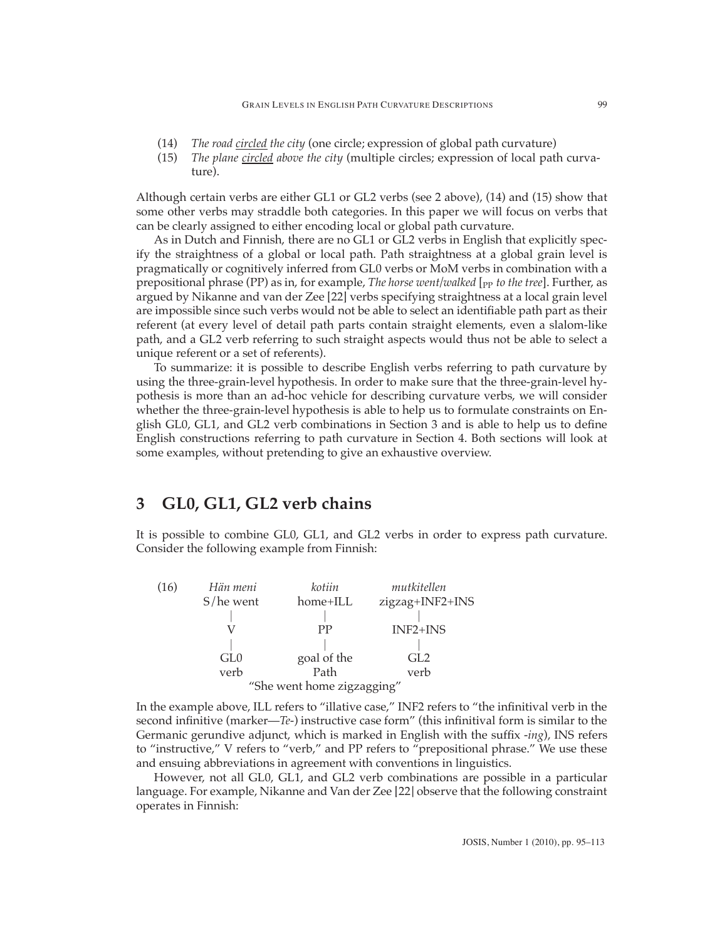- (14) *The road circled the city* (one circle; expression of global path curvature)
- (15) *The plane circled above the city* (multiple circles; expression of local path curvature).

Although certain verbs are either GL1 or GL2 verbs (see 2 above), (14) and (15) show that some other verbs may straddle both categories. In this paper we will focus on verbs that can be clearly assigned to either encoding local or global path curvature.

As in Dutch and Finnish, there are no GL1 or GL2 verbs in English that explicitly specify the straightness of a global or local path. Path straightness at a global grain level is pragmatically or cognitively inferred from GL0 verbs or MoM verbs in combination with a prepositional phrase (PP) as in, for example, *The horse went/walked* [<sub>PP</sub> *to the tree*]. Further, as argued by Nikanne and van der Zee [\[22\]](#page-17-0) verbs specifying straightness at a local grain level are impossible since such verbs would not be able to select an identifiable path part as their referent (at every level of detail path parts contain straight elements, even a slalom-like path, and a GL2 verb referring to such straight aspects would thus not be able to select a unique referent or a set of referents).

To summarize: it is possible to describe English verbs referring to path curvature by using the three-grain-level hypothesis. In order to make sure that the three-grain-level hypothesis is more than an ad-hoc vehicle for describing curvature verbs, we will consider whether the three-grain-level hypothesis is able to help us to formulate constraints on English GL0, GL1, and GL2 verb combinations in Section 3 and is able to help us to define English constructions referring to path curvature in Section 4. Both sections will look at some examples, without pretending to give an exhaustive overview.

## **3 GL0, GL1, GL2 verb chains**

It is possible to combine GL0, GL1, and GL2 verbs in order to express path curvature. Consider the following example from Finnish:

| (16) | Hän meni                   | kotiin      | mutkitellen     |  |  |
|------|----------------------------|-------------|-----------------|--|--|
|      | $S$ /he went               | home+ILL    | zigzag+INF2+INS |  |  |
|      |                            |             |                 |  |  |
|      |                            | РP          | INF2+INS        |  |  |
|      |                            |             |                 |  |  |
|      | GL <sub>0</sub>            | goal of the | GL2             |  |  |
|      | verb                       | Path        | verb            |  |  |
|      | "She went home zigzagging" |             |                 |  |  |

In the example above, ILL refers to "illative case," INF2 refers to "the infinitival verb in the second infinitive (marker—*Te-*) instructive case form" (this infinitival form is similar to the Germanic gerundive adjunct, which is marked in English with the suffix -*ing*), INS refers to "instructive," V refers to "verb," and PP refers to "prepositional phrase." We use these and ensuing abbreviations in agreement with conventions in linguistics.

However, not all GL0, GL1, and GL2 verb combinations are possible in a particular language. For example, Nikanne and Van der Zee [\[22\]](#page-17-0) observe that the following constraint operates in Finnish: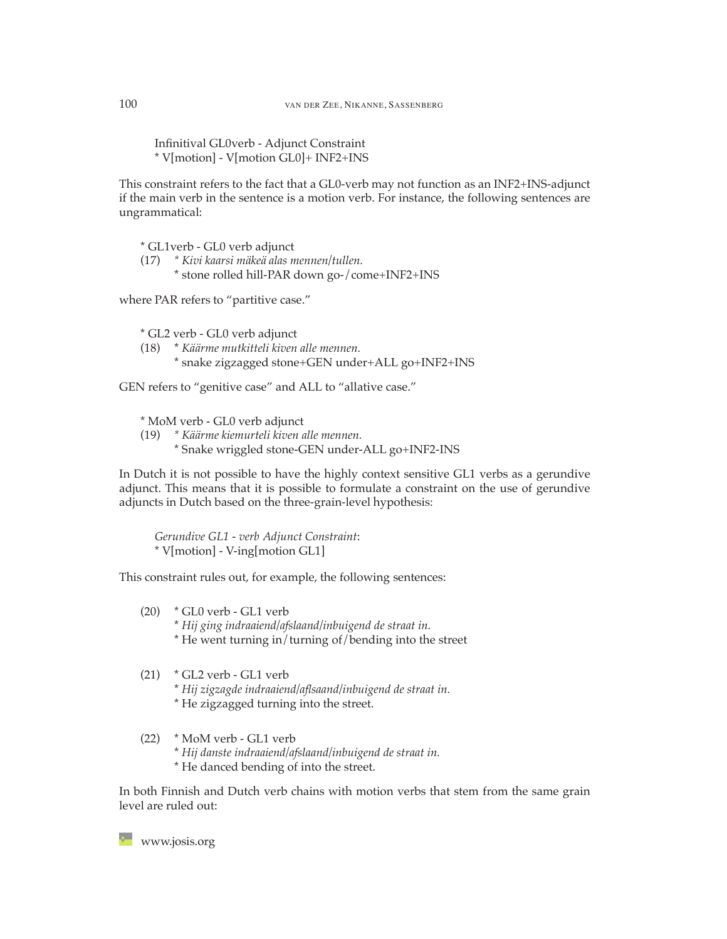Infinitival GL0verb - Adjunct Constraint \* V[motion] - V[motion GL0]+ INF2+INS

This constraint refers to the fact that a GL0-verb may not function as an INF2+INS-adjunct if the main verb in the sentence is a motion verb. For instance, the following sentences are ungrammatical:

\* GL1verb - GL0 verb adjunct

- (17) *\* Kivi kaarsi m¨ake¨a alas mennen/tullen.*
	- \* stone rolled hill-PAR down go-/come+INF2+INS

where PAR refers to "partitive case."

\* GL2 verb - GL0 verb adjunct

- (18) \* *K¨a¨arme mutkitteli kiven alle mennen.*
	- \* snake zigzagged stone+GEN under+ALL go+INF2+INS

GEN refers to "genitive case" and ALL to "allative case."

\* MoM verb - GL0 verb adjunct

- (19) *\* K¨a¨arme kiemurteli kiven alle mennen.*
	- \* Snake wriggled stone-GEN under-ALL go+INF2-INS

In Dutch it is not possible to have the highly context sensitive GL1 verbs as a gerundive adjunct. This means that it is possible to formulate a constraint on the use of gerundive adjuncts in Dutch based on the three-grain-level hypothesis:

*Gerundive GL1 - verb Adjunct Constraint*: \* V[motion] - V-ing[motion GL1]

This constraint rules out, for example, the following sentences:

- (20) \* GL0 verb GL1 verb
	- \* *Hij ging indraaiend/afslaand/inbuigend de straat in.*
	- \* He went turning in/turning of/bending into the street
- (21) \* GL2 verb GL1 verb
	- \* *Hij zigzagde indraaiend/aflsaand/inbuigend de straat in.*
	- \* He zigzagged turning into the street.

(22) \* MoM verb - GL1 verb

- \* *Hij danste indraaiend/afslaand/inbuigend de straat in.*
- \* He danced bending of into the street.

In both Finnish and Dutch verb chains with motion verbs that stem from the same grain level are ruled out: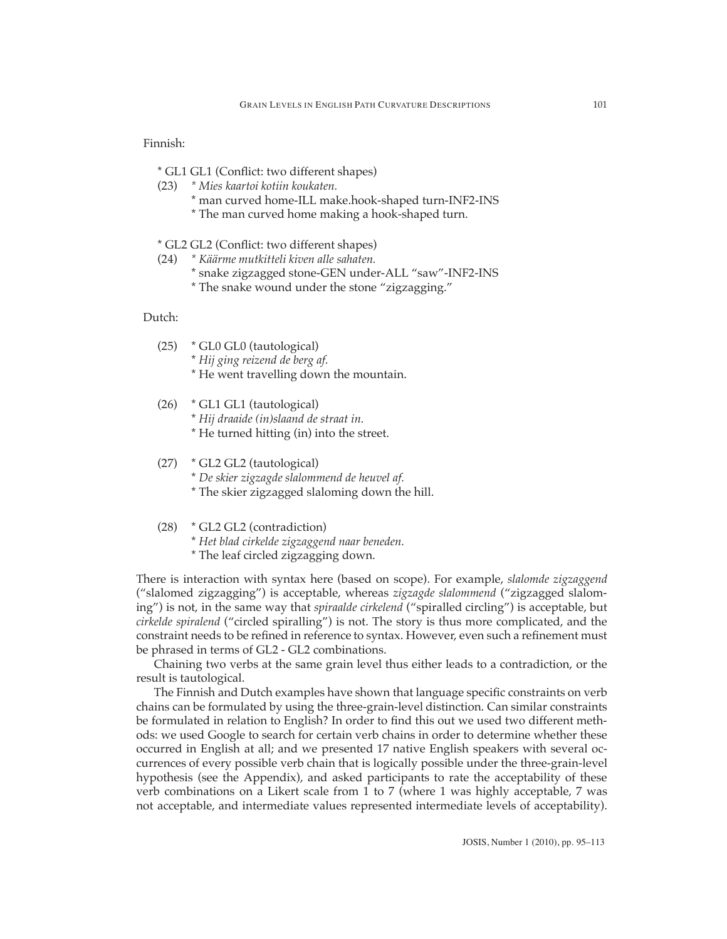#### Finnish:

- \* GL1 GL1 (Conflict: two different shapes)
- (23) *\* Mies kaartoi kotiin koukaten.*
	- \* man curved home-ILL make.hook-shaped turn-INF2-INS
	- \* The man curved home making a hook-shaped turn.
- \* GL2 GL2 (Conflict: two different shapes)
- (24) *\* K¨a¨arme mutkitteli kiven alle sahaten.*
	- \* snake zigzagged stone-GEN under-ALL "saw"-INF2-INS
	- \* The snake wound under the stone "zigzagging."

#### Dutch:

- (25) \* GL0 GL0 (tautological)
	- \* *Hij ging reizend de berg af.*
	- \* He went travelling down the mountain.
- (26) \* GL1 GL1 (tautological) \* *Hij draaide (in)slaand de straat in.*
	- \* He turned hitting (in) into the street.
- (27) \* GL2 GL2 (tautological)
	- \* *De skier zigzagde slalommend de heuvel af.*
	- \* The skier zigzagged slaloming down the hill.
- (28) \* GL2 GL2 (contradiction)
	- \* *Het blad cirkelde zigzaggend naar beneden.*
	- \* The leaf circled zigzagging down.

There is interaction with syntax here (based on scope). For example, *slalomde zigzaggend* ("slalomed zigzagging") is acceptable, whereas *zigzagde slalommend* ("zigzagged slaloming") is not, in the same way that *spiraalde cirkelend* ("spiralled circling") is acceptable, but *cirkelde spiralend* ("circled spiralling") is not. The story is thus more complicated, and the constraint needs to be refined in reference to syntax. However, even such a refinement must be phrased in terms of GL2 - GL2 combinations.

Chaining two verbs at the same grain level thus either leads to a contradiction, or the result is tautological.

The Finnish and Dutch examples have shown that language specific constraints on verb chains can be formulated by using the three-grain-level distinction. Can similar constraints be formulated in relation to English? In order to find this out we used two different methods: we used Google to search for certain verb chains in order to determine whether these occurred in English at all; and we presented 17 native English speakers with several occurrences of every possible verb chain that is logically possible under the three-grain-level hypothesis (see the Appendix), and asked participants to rate the acceptability of these verb combinations on a Likert scale from 1 to 7 (where 1 was highly acceptable, 7 was not acceptable, and intermediate values represented intermediate levels of acceptability).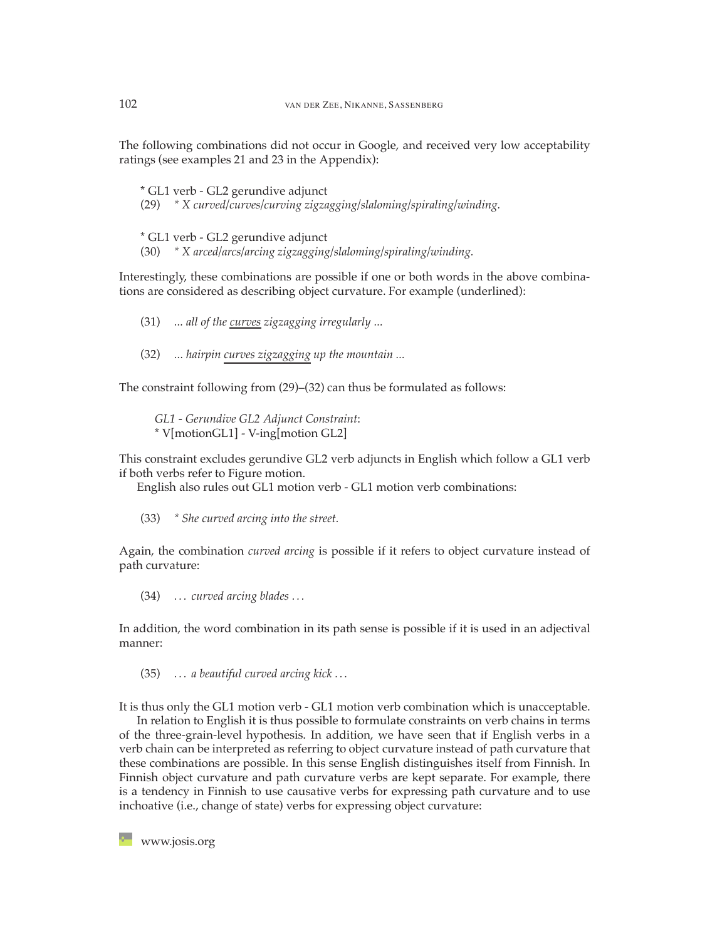The following combinations did not occur in Google, and received very low acceptability ratings (see examples 21 and 23 in the Appendix):

\* GL1 verb - GL2 gerundive adjunct (29) *\* X curved/curves/curving zigzagging/slaloming/spiraling/winding.*

\* GL1 verb - GL2 gerundive adjunct (30) *\* X arced/arcs/arcing zigzagging/slaloming/spiraling/winding.*

Interestingly, these combinations are possible if one or both words in the above combinations are considered as describing object curvature. For example (underlined):

(31) *... all of the curves zigzagging irregularly ...*

(32) *... hairpin curves zigzagging up the mountain ...*

The constraint following from (29)–(32) can thus be formulated as follows:

*GL1 - Gerundive GL2 Adjunct Constraint*: \* V[motionGL1] - V-ing[motion GL2]

This constraint excludes gerundive GL2 verb adjuncts in English which follow a GL1 verb if both verbs refer to Figure motion.

English also rules out GL1 motion verb - GL1 motion verb combinations:

(33) *\* She curved arcing into the street.*

Again, the combination *curved arcing* is possible if it refers to object curvature instead of path curvature:

(34) *. . . curved arcing blades . . .*

In addition, the word combination in its path sense is possible if it is used in an adjectival manner:

(35) *. . . a beautiful curved arcing kick . . .*

It is thus only the GL1 motion verb - GL1 motion verb combination which is unacceptable.

In relation to English it is thus possible to formulate constraints on verb chains in terms of the three-grain-level hypothesis. In addition, we have seen that if English verbs in a verb chain can be interpreted as referring to object curvature instead of path curvature that these combinations are possible. In this sense English distinguishes itself from Finnish. In Finnish object curvature and path curvature verbs are kept separate. For example, there is a tendency in Finnish to use causative verbs for expressing path curvature and to use inchoative (i.e., change of state) verbs for expressing object curvature: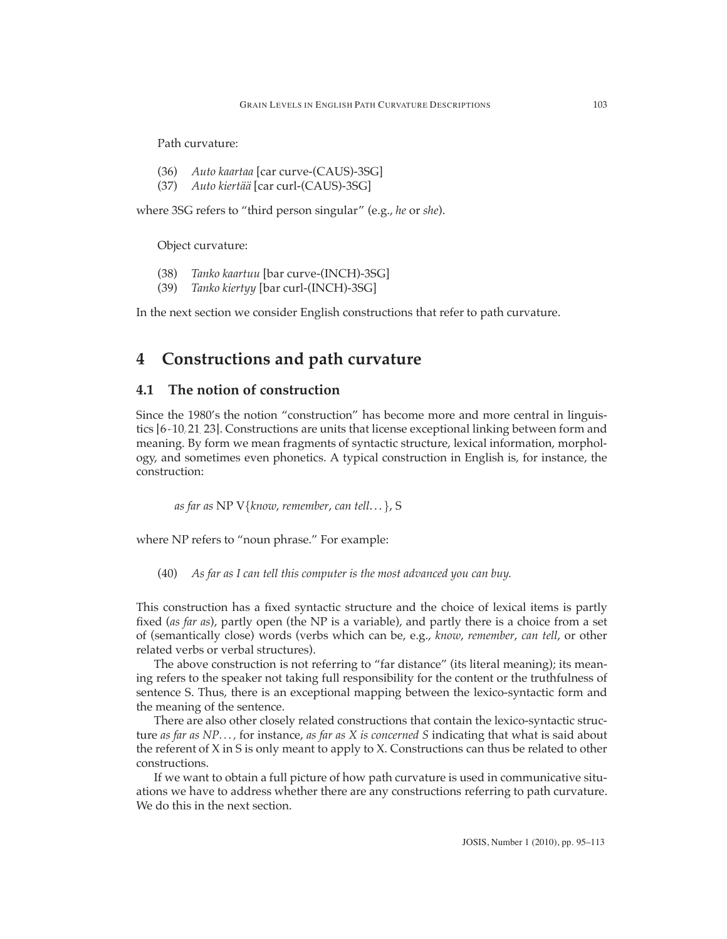Path curvature:

- (36) *Auto kaartaa* [car curve-(CAUS)-3SG]
- (37) *Auto kiertää* [car curl-(CAUS)-3SG]

where 3SG refers to "third person singular" (e.g., *he* or *she*).

Object curvature:

- (38) *Tanko kaartuu* [bar curve-(INCH)-3SG]
- (39) *Tanko kiertyy* [bar curl-(INCH)-3SG]

In the next section we consider English constructions that refer to path curvature.

## **4 Constructions and path curvature**

## **4.1 The notion of construction**

Since the 1980's the notion "construction" has become more and more central in linguistics [\[6](#page-15-3)[–10,](#page-16-9)[21,](#page-16-10)[23\]](#page-17-8). Constructions are units that license exceptional linking between form and meaning. By form we mean fragments of syntactic structure, lexical information, morphology, and sometimes even phonetics. A typical construction in English is, for instance, the construction:

*as far as* NP V*{know*, *remember*, *can tell*... *}*, S

where NP refers to "noun phrase." For example:

(40) *As far as I can tell this computer is the most advanced you can buy.*

This construction has a fixed syntactic structure and the choice of lexical items is partly fixed (*as far as*), partly open (the NP is a variable), and partly there is a choice from a set of (semantically close) words (verbs which can be, e.g., *know*, *remember*, *can tell*, or other related verbs or verbal structures).

The above construction is not referring to "far distance" (its literal meaning); its meaning refers to the speaker not taking full responsibility for the content or the truthfulness of sentence S. Thus, there is an exceptional mapping between the lexico-syntactic form and the meaning of the sentence.

There are also other closely related constructions that contain the lexico-syntactic structure *as far as NP. . . ,* for instance, *as far as X is concerned S* indicating that what is said about the referent of X in S is only meant to apply to X. Constructions can thus be related to other constructions.

If we want to obtain a full picture of how path curvature is used in communicative situations we have to address whether there are any constructions referring to path curvature. We do this in the next section.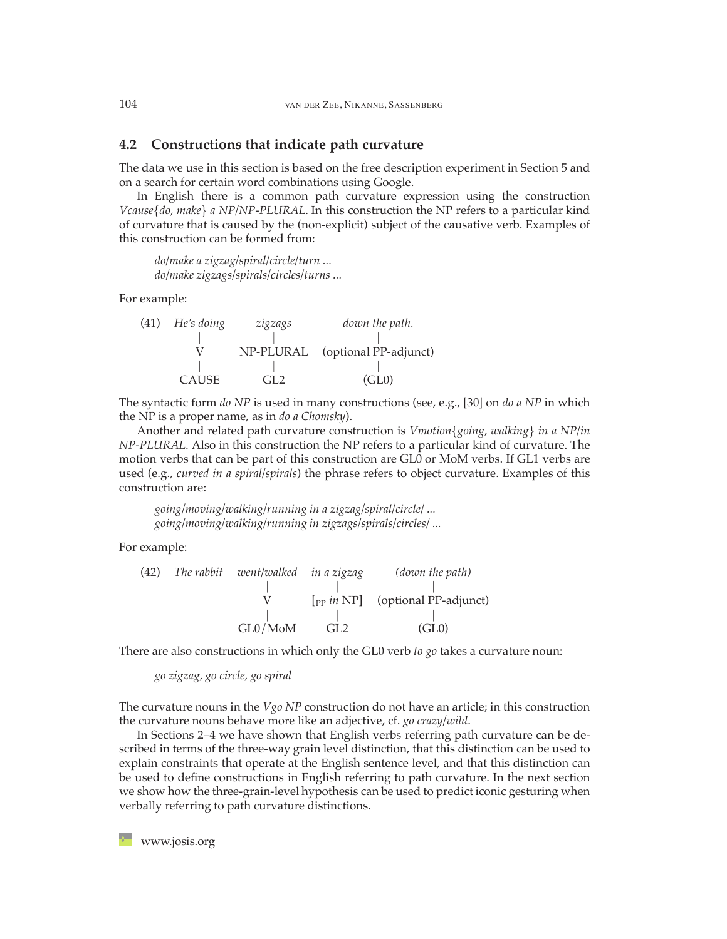## **4.2 Constructions that indicate path curvature**

The data we use in this section is based on the free description experiment in Section 5 and on a search for certain word combinations using Google.

In English there is a common path curvature expression using the construction *Vcause{do, make} a NP/NP-PLURAL*. In this construction the NP refers to a particular kind of curvature that is caused by the (non-explicit) subject of the causative verb. Examples of this construction can be formed from:

*do/make a zigzag/spiral/circle/turn ... do/make zigzags/spirals/circles/turns ...*

For example:

(41) *He's doing zigzags down the path. || |* V NP-PLURAL (optional PP-adjunct) *|| |* CAUSE GL2 (GL0)

The syntactic form *do NP* is used in many constructions (see, e.g., [\[30\]](#page-17-2) on *do a NP* in which the NP is a proper name, as in *do a Chomsky*).

Another and related path curvature construction is *Vmotion{going, walking} in a NP/in NP-PLURAL*. Also in this construction the NP refers to a particular kind of curvature. The motion verbs that can be part of this construction are GL0 or MoM verbs. If GL1 verbs are used (e.g., *curved in a spiral/spirals*) the phrase refers to object curvature. Examples of this construction are:

*going/moving/walking/running in a zigzag/spiral/circle/ ... going/moving/walking/running in zigzags/spirals/circles/ ...*

For example:

(42) The rabbit 
$$
went/walked
$$
 in a zigzag *(down the path)*  
\n
$$
\begin{array}{ccc}\n & | & | & |\n\end{array}
$$
\n(6) (down the path)  
\n
$$
\begin{array}{ccc}\n & | & |\n\end{array}
$$
\n(7) (optional PP-adjunct)  
\n
$$
GLO/MoM & GL2 \qquad (GL0)
$$

There are also constructions in which only the GL0 verb *to go* takes a curvature noun:

*go zigzag, go circle, go spiral*

The curvature nouns in the *Vgo NP* construction do not have an article; in this construction the curvature nouns behave more like an adjective, cf. *go crazy/wild*.

In Sections 2–4 we have shown that English verbs referring path curvature can be described in terms of the three-way grain level distinction, that this distinction can be used to explain constraints that operate at the English sentence level, and that this distinction can be used to define constructions in English referring to path curvature. In the next section we show how the three-grain-level hypothesis can be used to predict iconic gesturing when verbally referring to path curvature distinctions.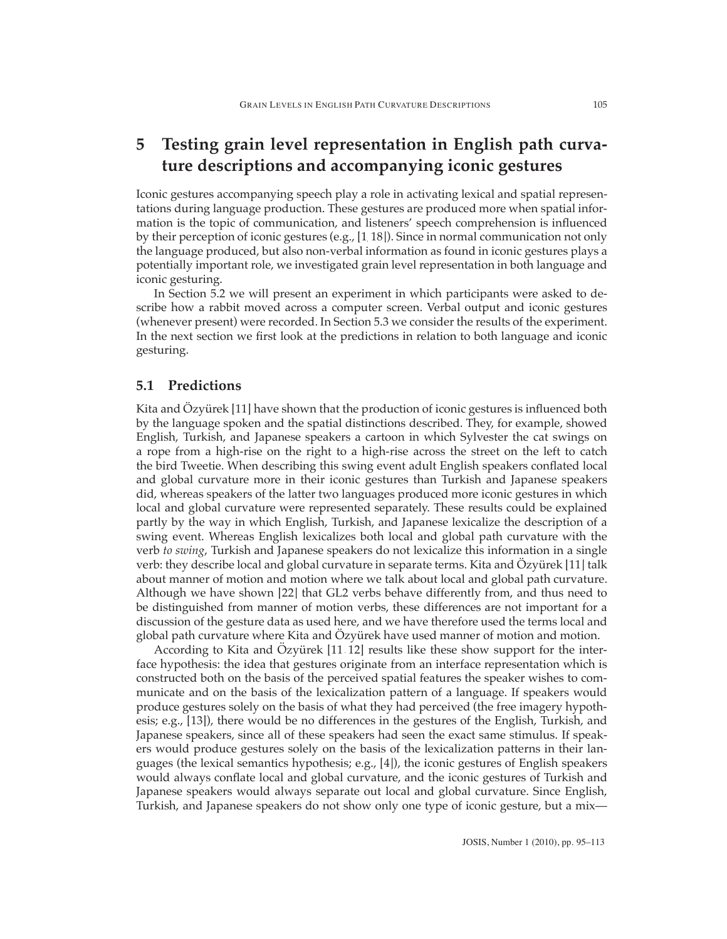# **5 Testing grain level representation in English path curvature descriptions and accompanying iconic gestures**

Iconic gestures accompanying speech play a role in activating lexical and spatial representations during language production. These gestures are produced more when spatial information is the topic of communication, and listeners' speech comprehension is influenced by their perception of iconic gestures (e.g., [\[1,](#page-15-4)[18\]](#page-16-8)). Since in normal communication not only the language produced, but also non-verbal information as found in iconic gestures plays a potentially important role, we investigated grain level representation in both language and iconic gesturing.

In Section 5.2 we will present an experiment in which participants were asked to describe how a rabbit moved across a computer screen. Verbal output and iconic gestures (whenever present) were recorded. In Section 5.3 we consider the results of the experiment. In the next section we first look at the predictions in relation to both language and iconic gesturing.

## **5.1 Predictions**

Kita and  $Ozy$  ürek [\[11\]](#page-16-1) have shown that the production of iconic gestures is influenced both by the language spoken and the spatial distinctions described. They, for example, showed English, Turkish, and Japanese speakers a cartoon in which Sylvester the cat swings on a rope from a high-rise on the right to a high-rise across the street on the left to catch the bird Tweetie. When describing this swing event adult English speakers conflated local and global curvature more in their iconic gestures than Turkish and Japanese speakers did, whereas speakers of the latter two languages produced more iconic gestures in which local and global curvature were represented separately. These results could be explained partly by the way in which English, Turkish, and Japanese lexicalize the description of a swing event. Whereas English lexicalizes both local and global path curvature with the verb *to swing*, Turkish and Japanese speakers do not lexicalize this information in a single verb: they describe local and global curvature in separate terms. Kita and Ozyürek [\[11\]](#page-16-1) talk about manner of motion and motion where we talk about local and global path curvature. Although we have shown [\[22\]](#page-17-0) that GL2 verbs behave differently from, and thus need to be distinguished from manner of motion verbs, these differences are not important for a discussion of the gesture data as used here, and we have therefore used the terms local and global path curvature where Kita and Ozyürek have used manner of motion and motion.

According to Kita and Ozyürek  $[11, 12]$  $[11, 12]$  results like these show support for the interface hypothesis: the idea that gestures originate from an interface representation which is constructed both on the basis of the perceived spatial features the speaker wishes to communicate and on the basis of the lexicalization pattern of a language. If speakers would produce gestures solely on the basis of what they had perceived (the free imagery hypothesis; e.g., [\[13\]](#page-16-12)), there would be no differences in the gestures of the English, Turkish, and Japanese speakers, since all of these speakers had seen the exact same stimulus. If speakers would produce gestures solely on the basis of the lexicalization patterns in their languages (the lexical semantics hypothesis; e.g., [\[4\]](#page-15-5)), the iconic gestures of English speakers would always conflate local and global curvature, and the iconic gestures of Turkish and Japanese speakers would always separate out local and global curvature. Since English, Turkish, and Japanese speakers do not show only one type of iconic gesture, but a mix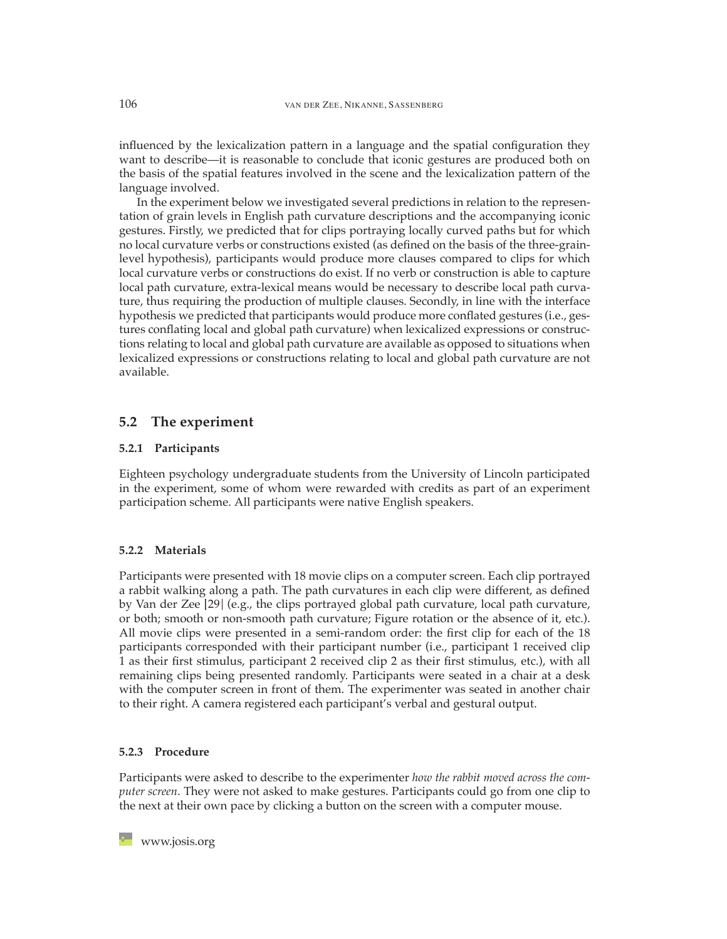influenced by the lexicalization pattern in a language and the spatial configuration they want to describe—it is reasonable to conclude that iconic gestures are produced both on the basis of the spatial features involved in the scene and the lexicalization pattern of the language involved.

In the experiment below we investigated several predictions in relation to the representation of grain levels in English path curvature descriptions and the accompanying iconic gestures. Firstly, we predicted that for clips portraying locally curved paths but for which no local curvature verbs or constructions existed (as defined on the basis of the three-grainlevel hypothesis), participants would produce more clauses compared to clips for which local curvature verbs or constructions do exist. If no verb or construction is able to capture local path curvature, extra-lexical means would be necessary to describe local path curvature, thus requiring the production of multiple clauses. Secondly, in line with the interface hypothesis we predicted that participants would produce more conflated gestures (i.e., gestures conflating local and global path curvature) when lexicalized expressions or constructions relating to local and global path curvature are available as opposed to situations when lexicalized expressions or constructions relating to local and global path curvature are not available.

## **5.2 The experiment**

### **5.2.1 Participants**

Eighteen psychology undergraduate students from the University of Lincoln participated in the experiment, some of whom were rewarded with credits as part of an experiment participation scheme. All participants were native English speakers.

#### **5.2.2 Materials**

Participants were presented with 18 movie clips on a computer screen. Each clip portrayed a rabbit walking along a path. The path curvatures in each clip were different, as defined by Van der Zee [\[29\]](#page-17-6) (e.g., the clips portrayed global path curvature, local path curvature, or both; smooth or non-smooth path curvature; Figure rotation or the absence of it, etc.). All movie clips were presented in a semi-random order: the first clip for each of the 18 participants corresponded with their participant number (i.e., participant 1 received clip 1 as their first stimulus, participant 2 received clip 2 as their first stimulus, etc.), with all remaining clips being presented randomly. Participants were seated in a chair at a desk with the computer screen in front of them. The experimenter was seated in another chair to their right. A camera registered each participant's verbal and gestural output.

#### **5.2.3 Procedure**

Participants were asked to describe to the experimenter *how the rabbit moved across the computer screen*. They were not asked to make gestures. Participants could go from one clip to the next at their own pace by clicking a button on the screen with a computer mouse.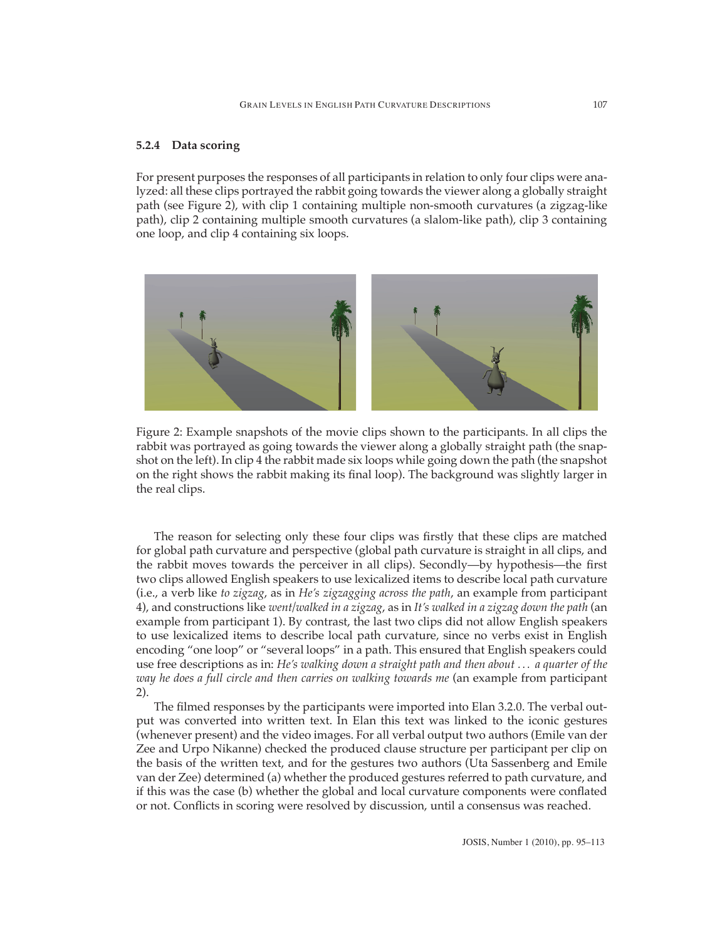#### **5.2.4 Data scoring**

For present purposes the responses of all participants in relation to only four clips were analyzed: all these clips portrayed the rabbit going towards the viewer along a globally straight path (see Figure 2), with clip 1 containing multiple non-smooth curvatures (a zigzag-like path), clip 2 containing multiple smooth curvatures (a slalom-like path), clip 3 containing one loop, and clip 4 containing six loops.



Figure 2: Example snapshots of the movie clips shown to the participants. In all clips the rabbit was portrayed as going towards the viewer along a globally straight path (the snapshot on the left). In clip 4 the rabbit made six loops while going down the path (the snapshot on the right shows the rabbit making its final loop). The background was slightly larger in the real clips.

The reason for selecting only these four clips was firstly that these clips are matched for global path curvature and perspective (global path curvature is straight in all clips, and the rabbit moves towards the perceiver in all clips). Secondly—by hypothesis—the first two clips allowed English speakers to use lexicalized items to describe local path curvature (i.e., a verb like *to zigzag*, as in *He's zigzagging across the path*, an example from participant 4), and constructions like *went/walked in a zigzag*, as in *It's walked in a zigzag down the path* (an example from participant 1). By contrast, the last two clips did not allow English speakers to use lexicalized items to describe local path curvature, since no verbs exist in English encoding "one loop" or "several loops" in a path. This ensured that English speakers could use free descriptions as in: *He's walking down a straight path and then about . . . a quarter of the way he does a full circle and then carries on walking towards me* (an example from participant 2).

The filmed responses by the participants were imported into Elan 3.2.0. The verbal output was converted into written text. In Elan this text was linked to the iconic gestures (whenever present) and the video images. For all verbal output two authors (Emile van der Zee and Urpo Nikanne) checked the produced clause structure per participant per clip on the basis of the written text, and for the gestures two authors (Uta Sassenberg and Emile van der Zee) determined (a) whether the produced gestures referred to path curvature, and if this was the case (b) whether the global and local curvature components were conflated or not. Conflicts in scoring were resolved by discussion, until a consensus was reached.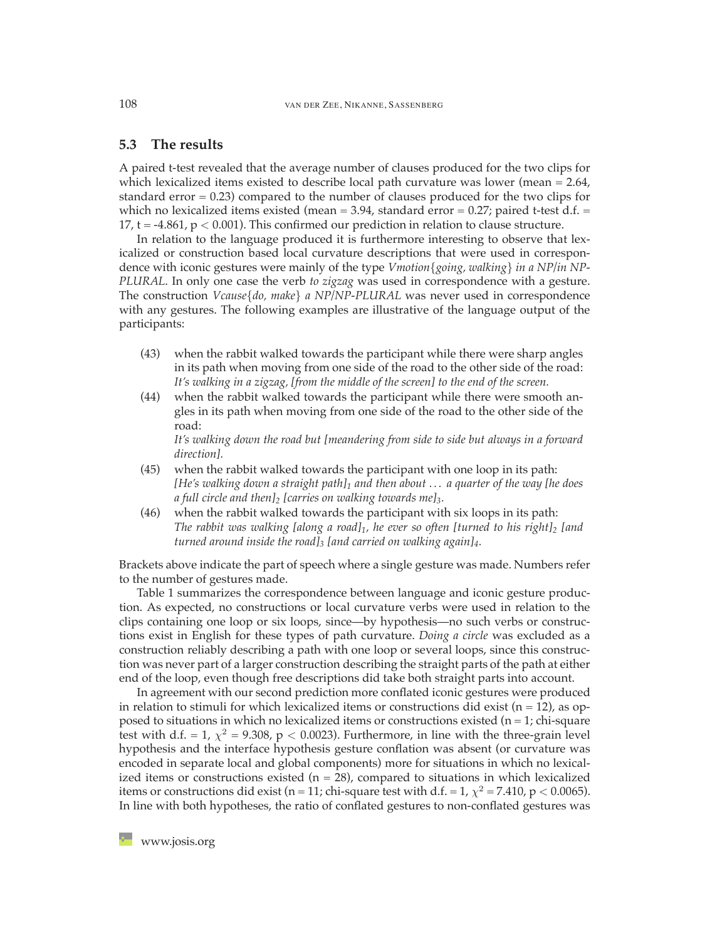## **5.3 The results**

A paired t-test revealed that the average number of clauses produced for the two clips for which lexicalized items existed to describe local path curvature was lower (mean = 2.64, standard error  $= 0.23$ ) compared to the number of clauses produced for the two clips for which no lexicalized items existed (mean  $= 3.94$ , standard error  $= 0.27$ ; paired t-test d.f.  $=$ 17, t =  $-4.861$ , p  $< 0.001$ ). This confirmed our prediction in relation to clause structure.

In relation to the language produced it is furthermore interesting to observe that lexicalized or construction based local curvature descriptions that were used in correspondence with iconic gestures were mainly of the type *Vmotion{going, walking} in a NP/in NP-PLURAL*. In only one case the verb *to zigzag* was used in correspondence with a gesture. The construction *Vcause{do, make} a NP/NP-PLURAL* was never used in correspondence with any gestures. The following examples are illustrative of the language output of the participants:

- (43) when the rabbit walked towards the participant while there were sharp angles in its path when moving from one side of the road to the other side of the road: *It's walking in a zigzag, [from the middle of the screen] to the end of the screen.*
- (44) when the rabbit walked towards the participant while there were smooth angles in its path when moving from one side of the road to the other side of the road:

*It's walking down the road but [meandering from side to side but always in a forward direction].*

- (45) when the rabbit walked towards the participant with one loop in its path: *[He's walking down a straight path]1 and then about . . . a quarter of the way [he does a full circle and then]2 [carries on walking towards me]3.*
- (46) when the rabbit walked towards the participant with six loops in its path: The rabbit was walking *[along a road]*<sub>1</sub>, he ever so often *[turned to his right]*<sub>2</sub> *[and turned around inside the road]3 [and carried on walking again]4.*

Brackets above indicate the part of speech where a single gesture was made. Numbers refer to the number of gestures made.

Table 1 summarizes the correspondence between language and iconic gesture production. As expected, no constructions or local curvature verbs were used in relation to the clips containing one loop or six loops, since—by hypothesis—no such verbs or constructions exist in English for these types of path curvature. *Doing a circle* was excluded as a construction reliably describing a path with one loop or several loops, since this construction was never part of a larger construction describing the straight parts of the path at either end of the loop, even though free descriptions did take both straight parts into account.

In agreement with our second prediction more conflated iconic gestures were produced in relation to stimuli for which lexicalized items or constructions did exist ( $n = 12$ ), as opposed to situations in which no lexicalized items or constructions existed ( $n = 1$ ; chi-square test with d.f. = 1,  $\chi^2$  = 9.308, p < 0.0023). Furthermore, in line with the three-grain level hypothesis and the interface hypothesis gesture conflation was absent (or curvature was encoded in separate local and global components) more for situations in which no lexicalized items or constructions existed ( $n = 28$ ), compared to situations in which lexicalized items or constructions did exist (n = 11; chi-square test with d.f. = 1,  $\chi^2$  = 7.410, p < 0.0065). In line with both hypotheses, the ratio of conflated gestures to non-conflated gestures was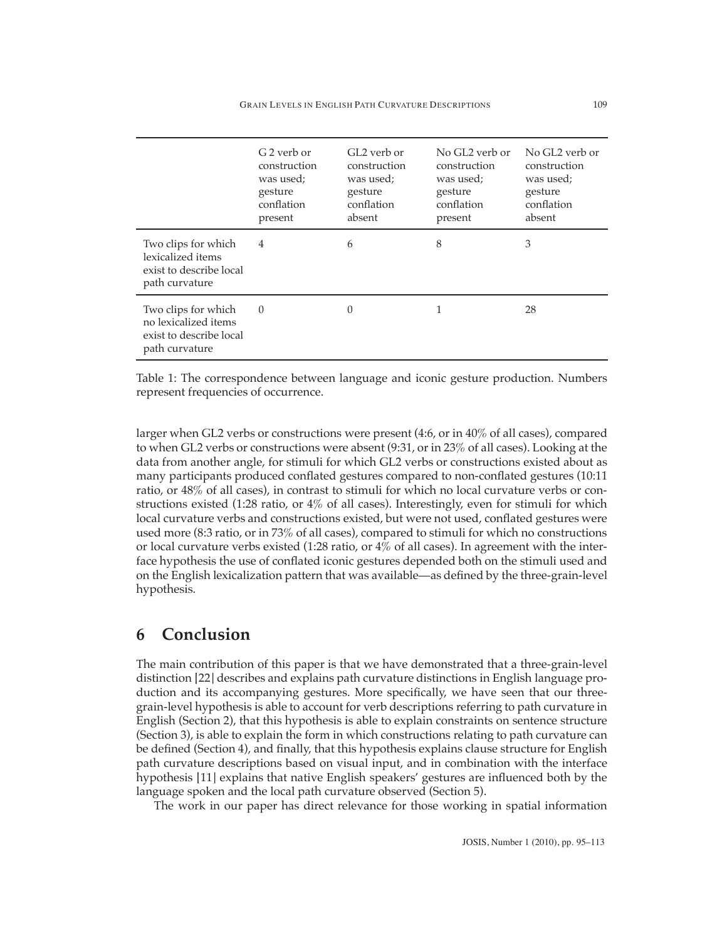|                                                                                          | G <sub>2</sub> verb or<br>construction<br>was used;<br>gesture<br>conflation<br>present | GL2 verb or<br>construction<br>was used;<br>gesture<br>conflation<br>absent | No GL2 verb or<br>construction<br>was used;<br>gesture<br>conflation<br>present | No GL2 verb or<br>construction<br>was used;<br>gesture<br>conflation<br>absent |
|------------------------------------------------------------------------------------------|-----------------------------------------------------------------------------------------|-----------------------------------------------------------------------------|---------------------------------------------------------------------------------|--------------------------------------------------------------------------------|
| Two clips for which<br>lexicalized items<br>exist to describe local<br>path curvature    | $\overline{4}$                                                                          | 6                                                                           | 8                                                                               | 3                                                                              |
| Two clips for which<br>no lexicalized items<br>exist to describe local<br>path curvature | $\Omega$                                                                                | $\Omega$                                                                    |                                                                                 | 28                                                                             |

Table 1: The correspondence between language and iconic gesture production. Numbers represent frequencies of occurrence.

larger when GL2 verbs or constructions were present (4:6, or in 40% of all cases), compared to when GL2 verbs or constructions were absent (9:31, or in 23% of all cases). Looking at the data from another angle, for stimuli for which GL2 verbs or constructions existed about as many participants produced conflated gestures compared to non-conflated gestures (10:11 ratio, or 48% of all cases), in contrast to stimuli for which no local curvature verbs or constructions existed (1:28 ratio, or 4% of all cases). Interestingly, even for stimuli for which local curvature verbs and constructions existed, but were not used, conflated gestures were used more (8:3 ratio, or in 73% of all cases), compared to stimuli for which no constructions or local curvature verbs existed (1:28 ratio, or 4% of all cases). In agreement with the interface hypothesis the use of conflated iconic gestures depended both on the stimuli used and on the English lexicalization pattern that was available—as defined by the three-grain-level hypothesis.

# **6 Conclusion**

The main contribution of this paper is that we have demonstrated that a three-grain-level distinction [\[22\]](#page-17-0) describes and explains path curvature distinctions in English language production and its accompanying gestures. More specifically, we have seen that our threegrain-level hypothesis is able to account for verb descriptions referring to path curvature in English (Section 2), that this hypothesis is able to explain constraints on sentence structure (Section 3), is able to explain the form in which constructions relating to path curvature can be defined (Section 4), and finally, that this hypothesis explains clause structure for English path curvature descriptions based on visual input, and in combination with the interface hypothesis [\[11\]](#page-16-1) explains that native English speakers' gestures are influenced both by the language spoken and the local path curvature observed (Section 5).

The work in our paper has direct relevance for those working in spatial information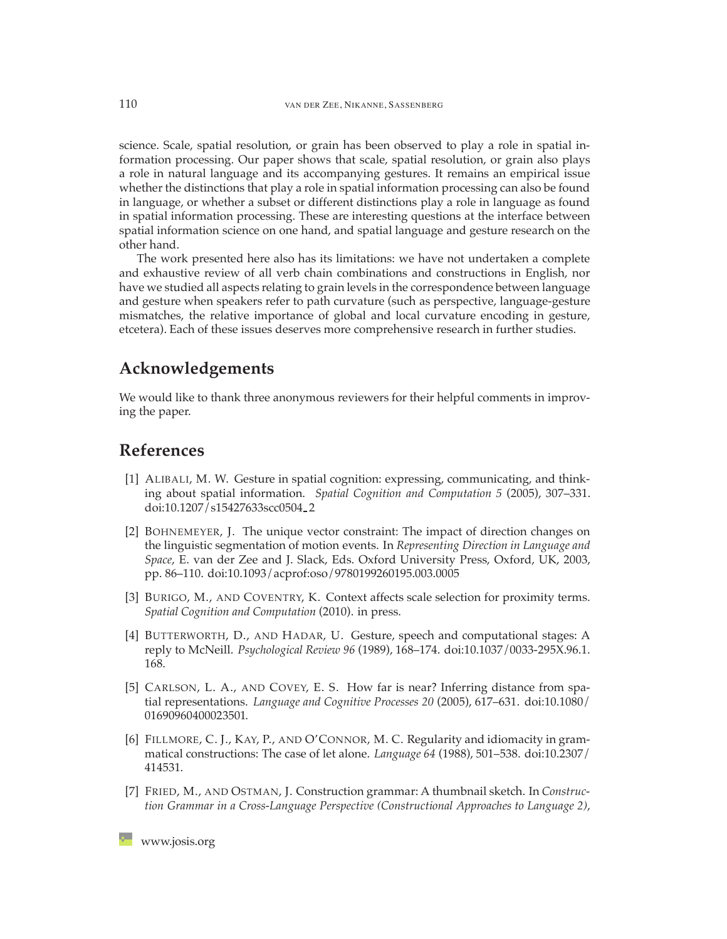science. Scale, spatial resolution, or grain has been observed to play a role in spatial information processing. Our paper shows that scale, spatial resolution, or grain also plays a role in natural language and its accompanying gestures. It remains an empirical issue whether the distinctions that play a role in spatial information processing can also be found in language, or whether a subset or different distinctions play a role in language as found in spatial information processing. These are interesting questions at the interface between spatial information science on one hand, and spatial language and gesture research on the other hand.

The work presented here also has its limitations: we have not undertaken a complete and exhaustive review of all verb chain combinations and constructions in English, nor have we studied all aspects relating to grain levels in the correspondence between language and gesture when speakers refer to path curvature (such as perspective, language-gesture mismatches, the relative importance of global and local curvature encoding in gesture, etcetera). Each of these issues deserves more comprehensive research in further studies.

## **Acknowledgements**

We would like to thank three anonymous reviewers for their helpful comments in improving the paper.

## <span id="page-15-4"></span>**References**

- [1] ALIBALI, M. W. Gesture in spatial cognition: expressing, communicating, and thinking about spatial information. *Spatial Cognition and Computation 5* (2005), 307–331. [doi:10.1207/s15427633scc0504](http://dx.doi.org/10.1207/s15427633scc0504_2) 2.
- <span id="page-15-2"></span>[2] BOHNEMEYER, J. The unique vector constraint: The impact of direction changes on the linguistic segmentation of motion events. In *Representing Direction in Language and Space*, E. van der Zee and J. Slack, Eds. Oxford University Press, Oxford, UK, 2003, pp. 86–110. [doi:10.1093/acprof:oso/9780199260195.003.0005.](http://dx.doi.org/10.1093/acprof:oso/9780199260195.003.0005)
- <span id="page-15-0"></span>[3] BURIGO, M., AND COVENTRY, K. Context affects scale selection for proximity terms. *Spatial Cognition and Computation* (2010). in press.
- <span id="page-15-5"></span>[4] BUTTERWORTH, D., AND HADAR, U. Gesture, speech and computational stages: A reply to McNeill. *Psychological Review 96* (1989), 168–174. [doi:10.1037/0033-295X.96.1.](http://dx.doi.org/10.1037/0033-295X.96.1.168) [168.](http://dx.doi.org/10.1037/0033-295X.96.1.168)
- <span id="page-15-1"></span>[5] CARLSON, L. A., AND COVEY, E. S. How far is near? Inferring distance from spatial representations. *Language and Cognitive Processes 20* (2005), 617–631. [doi:10.1080/](http://dx.doi.org/10.1080/01690960400023501) [01690960400023501.](http://dx.doi.org/10.1080/01690960400023501)
- <span id="page-15-3"></span>[6] FILLMORE, C. J., KAY, P., AND O'CONNOR, M. C. Regularity and idiomacity in grammatical constructions: The case of let alone. *Language 64* (1988), 501–538. [doi:10.2307/](http://dx.doi.org/10.2307/414531) [414531.](http://dx.doi.org/10.2307/414531)
- [7] FRIED, M., AND OSTMAN, J. Construction grammar: A thumbnail sketch. In *Construction Grammar in a Cross-Language Perspective (Constructional Approaches to Language 2)*,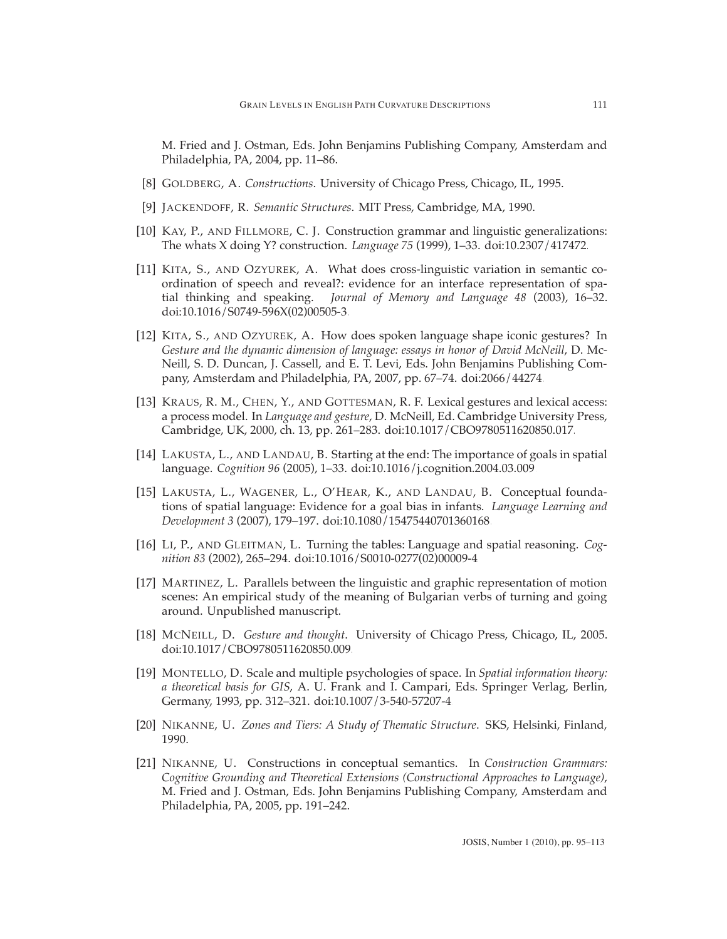M. Fried and J. Ostman, Eds. John Benjamins Publishing Company, Amsterdam and Philadelphia, PA, 2004, pp. 11–86.

- <span id="page-16-7"></span>[8] GOLDBERG, A. *Constructions*. University of Chicago Press, Chicago, IL, 1995.
- <span id="page-16-9"></span>[9] JACKENDOFF, R. *Semantic Structures*. MIT Press, Cambridge, MA, 1990.
- [10] KAY, P., AND FILLMORE, C. J. Construction grammar and linguistic generalizations: The whats X doing Y? construction. *Language 75* (1999), 1–33. [doi:10.2307/417472.](http://dx.doi.org/10.2307/417472)
- <span id="page-16-1"></span>[11] KITA, S., AND OZYUREK, A. What does cross-linguistic variation in semantic coordination of speech and reveal?: evidence for an interface representation of spatial thinking and speaking. *Journal of Memory and Language 48* (2003), 16–32. [doi:10.1016/S0749-596X\(02\)00505-3.](http://dx.doi.org/10.1016/S0749-596X(02)00505-3)
- <span id="page-16-11"></span>[12] KITA, S., AND OZYUREK, A. How does spoken language shape iconic gestures? In *Gesture and the dynamic dimension of language: essays in honor of David McNeill*, D. Mc-Neill, S. D. Duncan, J. Cassell, and E. T. Levi, Eds. John Benjamins Publishing Company, Amsterdam and Philadelphia, PA, 2007, pp. 67–74. [doi:2066/44274.](http://dx.doi.org/2066/44274)
- <span id="page-16-12"></span>[13] KRAUS, R. M., CHEN, Y., AND GOTTESMAN, R. F. Lexical gestures and lexical access: a process model. In *Language and gesture*, D. McNeill, Ed. Cambridge University Press, Cambridge, UK, 2000, ch. 13, pp. 261–283. [doi:10.1017/CBO9780511620850.017.](http://dx.doi.org/10.1017/CBO9780511620850.017)
- <span id="page-16-4"></span>[14] LAKUSTA, L., AND LANDAU, B. Starting at the end: The importance of goals in spatial language. *Cognition 96* (2005), 1–33. [doi:10.1016/j.cognition.2004.03.009.](http://dx.doi.org/10.1016/j.cognition.2004.03.009)
- <span id="page-16-5"></span>[15] LAKUSTA, L., WAGENER, L., O'HEAR, K., AND LANDAU, B. Conceptual foundations of spatial language: Evidence for a goal bias in infants. *Language Learning and Development 3* (2007), 179–197. [doi:10.1080/15475440701360168.](http://dx.doi.org/10.1080/15475440701360168)
- <span id="page-16-2"></span>[16] LI, P., AND GLEITMAN, L. Turning the tables: Language and spatial reasoning. *Cognition 83* (2002), 265–294. [doi:10.1016/S0010-0277\(02\)00009-4.](http://dx.doi.org/10.1016/S0010-0277(02)00009-4)
- <span id="page-16-0"></span>[17] MARTINEZ, L. Parallels between the linguistic and graphic representation of motion scenes: An empirical study of the meaning of Bulgarian verbs of turning and going around. Unpublished manuscript.
- <span id="page-16-8"></span>[18] MCNEILL, D. *Gesture and thought*. University of Chicago Press, Chicago, IL, 2005. [doi:10.1017/CBO9780511620850.009.](http://dx.doi.org/10.1017/CBO9780511620850.009)
- <span id="page-16-3"></span>[19] MONTELLO, D. Scale and multiple psychologies of space. In *Spatial information theory: a theoretical basis for GIS*, A. U. Frank and I. Campari, Eds. Springer Verlag, Berlin, Germany, 1993, pp. 312–321. [doi:10.1007/3-540-57207-4.](http://dx.doi.org/10.1007/3-540-57207-4)
- <span id="page-16-6"></span>[20] NIKANNE, U. *Zones and Tiers: A Study of Thematic Structure*. SKS, Helsinki, Finland, 1990.
- <span id="page-16-10"></span>[21] NIKANNE, U. Constructions in conceptual semantics. In *Construction Grammars: Cognitive Grounding and Theoretical Extensions (Constructional Approaches to Language)*, M. Fried and J. Ostman, Eds. John Benjamins Publishing Company, Amsterdam and Philadelphia, PA, 2005, pp. 191–242.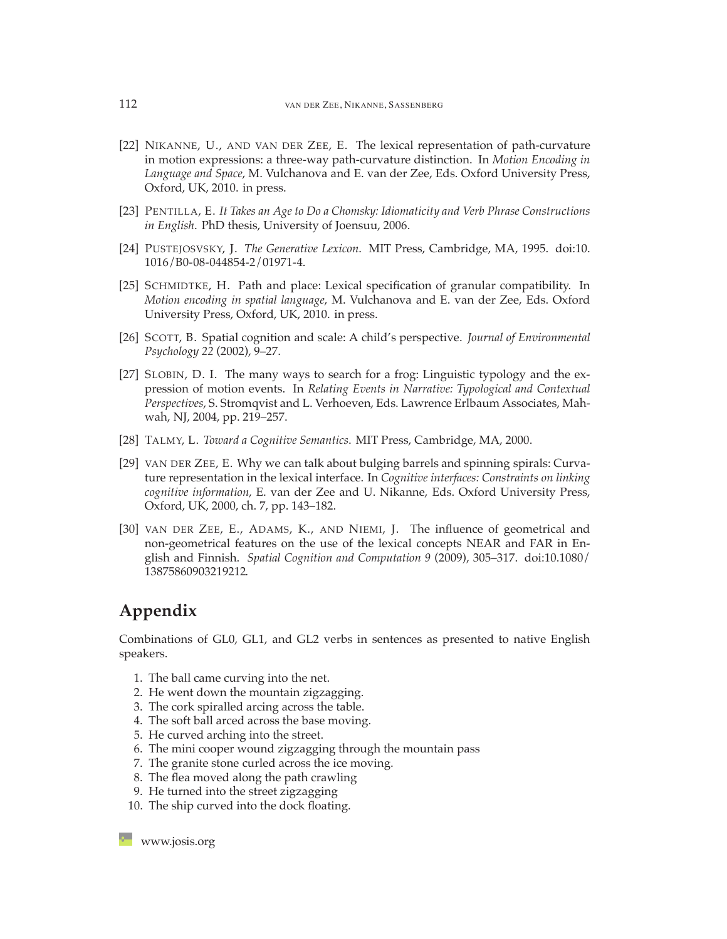- <span id="page-17-0"></span>[22] NIKANNE, U., AND VAN DER ZEE, E. The lexical representation of path-curvature in motion expressions: a three-way path-curvature distinction. In *Motion Encoding in Language and Space*, M. Vulchanova and E. van der Zee, Eds. Oxford University Press, Oxford, UK, 2010. in press.
- <span id="page-17-8"></span>[23] PENTILLA, E. *It Takes an Age to Do a Chomsky: Idiomaticity and Verb Phrase Constructions in English*. PhD thesis, University of Joensuu, 2006.
- <span id="page-17-7"></span><span id="page-17-3"></span>[24] PUSTEJOSVSKY, J. *The Generative Lexicon*. MIT Press, Cambridge, MA, 1995. [doi:10.](http://dx.doi.org/10.1016/B0-08-044854-2/01971-4) [1016/B0-08-044854-2/01971-4.](http://dx.doi.org/10.1016/B0-08-044854-2/01971-4)
- [25] SCHMIDTKE, H. Path and place: Lexical specification of granular compatibility. In *Motion encoding in spatial language*, M. Vulchanova and E. van der Zee, Eds. Oxford University Press, Oxford, UK, 2010. in press.
- <span id="page-17-1"></span>[26] SCOTT, B. Spatial cognition and scale: A child's perspective. *Journal of Environmental Psychology 22* (2002), 9–27.
- <span id="page-17-4"></span>[27] SLOBIN, D. I. The many ways to search for a frog: Linguistic typology and the expression of motion events. In *Relating Events in Narrative: Typological and Contextual Perspectives*, S. Stromqvist and L. Verhoeven, Eds. Lawrence Erlbaum Associates, Mahwah, NJ, 2004, pp. 219–257.
- <span id="page-17-6"></span><span id="page-17-5"></span>[28] TALMY, L. *Toward a Cognitive Semantics*. MIT Press, Cambridge, MA, 2000.
- [29] VAN DER ZEE, E. Why we can talk about bulging barrels and spinning spirals: Curvature representation in the lexical interface. In *Cognitive interfaces: Constraints on linking cognitive information*, E. van der Zee and U. Nikanne, Eds. Oxford University Press, Oxford, UK, 2000, ch. 7, pp. 143–182.
- <span id="page-17-2"></span>[30] VAN DER ZEE, E., ADAMS, K., AND NIEMI, J. The influence of geometrical and non-geometrical features on the use of the lexical concepts NEAR and FAR in English and Finnish. *Spatial Cognition and Computation 9* (2009), 305–317. [doi:10.1080/](http://dx.doi.org/10.1080/13875860903219212) [13875860903219212.](http://dx.doi.org/10.1080/13875860903219212)

# **Appendix**

Combinations of GL0, GL1, and GL2 verbs in sentences as presented to native English speakers.

- 1. The ball came curving into the net.
- 2. He went down the mountain zigzagging.
- 3. The cork spiralled arcing across the table.
- 4. The soft ball arced across the base moving.
- 5. He curved arching into the street.
- 6. The mini cooper wound zigzagging through the mountain pass
- 7. The granite stone curled across the ice moving.
- 8. The flea moved along the path crawling
- 9. He turned into the street zigzagging
- 10. The ship curved into the dock floating.